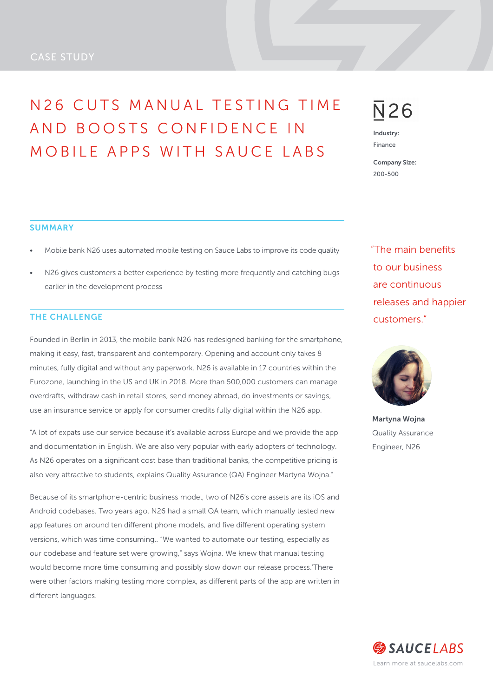# CASE STUDY

# N 2 6 CUTS MANUAL TESTING TIME AND BOOSTS CONFIDENCE IN MOBILE APPS WITH SAUCE LABS

# $\overline{\mathsf{N}}$ 26

Industry: Finance

Company Size: 200-500

"The main benefits to our business are continuous releases and happier customers."



Martyna Wojna Quality Assurance Engineer, N26

#### **SUMMARY**

- Mobile bank N26 uses automated mobile testing on Sauce Labs to improve its code quality
- N26 gives customers a better experience by testing more frequently and catching bugs earlier in the development process

### THE CHALLENGE

Founded in Berlin in 2013, the mobile bank N26 has redesigned banking for the smartphone, making it easy, fast, transparent and contemporary. Opening and account only takes 8 minutes, fully digital and without any paperwork. N26 is available in 17 countries within the Eurozone, launching in the US and UK in 2018. More than 500,000 customers can manage overdrafts, withdraw cash in retail stores, send money abroad, do investments or savings, use an insurance service or apply for consumer credits fully digital within the N26 app.

"A lot of expats use our service because it's available across Europe and we provide the app and documentation in English. We are also very popular with early adopters of technology. As N26 operates on a significant cost base than traditional banks, the competitive pricing is also very attractive to students, explains Quality Assurance (QA) Engineer Martyna Wojna."

Because of its smartphone-centric business model, two of N26's core assets are its iOS and Android codebases. Two years ago, N26 had a small QA team, which manually tested new app features on around ten different phone models, and five different operating system versions, which was time consuming.. "We wanted to automate our testing, especially as our codebase and feature set were growing," says Wojna. We knew that manual testing would become more time consuming and possibly slow down our release process.'There were other factors making testing more complex, as different parts of the app are written in different languages.